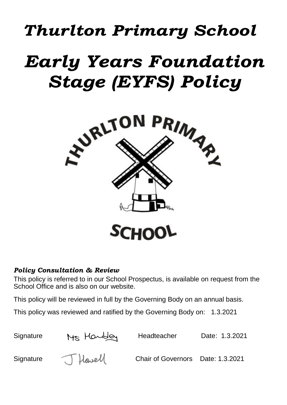## *Thurlton Primary School*

# *Early Years Foundation Stage (EYFS) Policy*



## *Policy Consultation & Review*

This policy is referred to in our School Prospectus, is available on request from the School Office and is also on our website.

This policy will be reviewed in full by the Governing Body on an annual basis.

This policy was reviewed and ratified by the Governing Body on: 1.3.2021

Signature M<sub>S</sub> Howbley Headteacher Date: 1.3.2021 Signature (Chair of Governors Date: 1.3.2021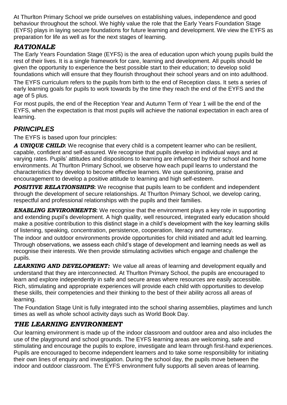At Thurlton Primary School we pride ourselves on establishing values, independence and good behaviour throughout the school. We highly value the role that the Early Years Foundation Stage (EYFS) plays in laying secure foundations for future learning and development. We view the EYFS as preparation for life as well as for the next stages of learning.

## *RATIONALE*

The Early Years Foundation Stage (EYFS) is the area of education upon which young pupils build the rest of their lives. It is a single framework for care, learning and development. All pupils should be given the opportunity to experience the best possible start to their education; to develop solid foundations which will ensure that they flourish throughout their school years and on into adulthood.

The EYFS curriculum refers to the pupils from birth to the end of Reception class. It sets a series of early learning goals for pupils to work towards by the time they reach the end of the EYFS and the age of 5 plus.

For most pupils, the end of the Reception Year and Autumn Term of Year 1 will be the end of the EYFS, when the expectation is that most pupils will achieve the national expectation in each area of learning.

## *PRINCIPLES*

The EYFS is based upon four principles:

*A UNIQUE CHILD***:** We recognise that every child is a competent learner who can be resilient, capable, confident and self-assured. We recognise that pupils develop in individual ways and at varying rates. Pupils' attitudes and dispositions to learning are influenced by their school and home environments. At Thurlton Primary School, we observe how each pupil learns to understand the characteristics they develop to become effective learners. We use questioning, praise and encouragement to develop a positive attitude to learning and high self-esteem.

**POSITIVE RELATIONSHIPS:** We recognise that pupils learn to be confident and independent through the development of secure relationships. At Thurlton Primary School, we develop caring, respectful and professional relationships with the pupils and their families.

**ENABLING ENVIRONMENTS:** We recognise that the environment plays a key role in supporting and extending pupil's development. A high quality, well resourced, integrated early education should make a positive contribution to this distinct stage in a child's development with the key learning skills of listening, speaking, concentration, persistence, cooperation, literacy and numeracy.

The indoor and outdoor environments provide opportunities for child initiated and adult led learning. Through observations, we assess each child's stage of development and learning needs as well as recognise their interests. We then provide stimulating activities which engage and challenge the pupils.

**LEARNING AND DEVELOPMENT:** We value all areas of learning and development equally and understand that they are interconnected. At Thurlton Primary School, the pupils are encouraged to learn and explore independently in safe and secure areas where resources are easily accessible. Rich, stimulating and appropriate experiences will provide each child with opportunities to develop these skills, their competencies and their thinking to the best of their ability across all areas of learning.

The Foundation Stage Unit is fully integrated into the school sharing assemblies, playtimes and lunch times as well as whole school activity days such as World Book Day.

## *THE LEARNING ENVIRONMENT*

Our learning environment is made up of the indoor classroom and outdoor area and also includes the use of the playground and school grounds. The EYFS learning areas are welcoming, safe and stimulating and encourage the pupils to explore, investigate and learn through first-hand experiences. Pupils are encouraged to become independent learners and to take some responsibility for initiating their own lines of enquiry and investigation. During the school day, the pupils move between the indoor and outdoor classroom. The EYFS environment fully supports all seven areas of learning.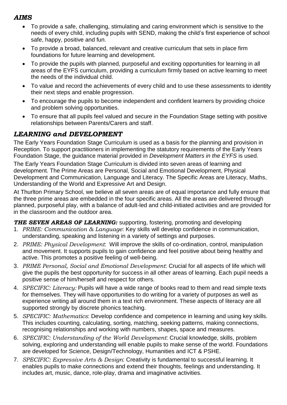## *AIMS*

- To provide a safe, challenging, stimulating and caring environment which is sensitive to the needs of every child, including pupils with SEND, making the child's first experience of school safe, happy, positive and fun.
- To provide a broad, balanced, relevant and creative curriculum that sets in place firm foundations for future learning and development.
- To provide the pupils with planned, purposeful and exciting opportunities for learning in all areas of the EYFS curriculum, providing a curriculum firmly based on active learning to meet the needs of the individual child.
- To value and record the achievements of every child and to use these assessments to identity their next steps and enable progression.
- To encourage the pupils to become independent and confident learners by providing choice and problem solving opportunities.
- To ensure that all pupils feel valued and secure in the Foundation Stage setting with positive relationships between Parents/Carers and staff.

## *LEARNING and DEVELOPMENT*

The Early Years Foundation Stage Curriculum is used as a basis for the planning and provision in Reception. To support practitioners in implementing the statutory requirements of the Early Years Foundation Stage, the guidance material provided in *Development Matters in the EYFS* is used.

The Early Years Foundation Stage Curriculum is divided into seven areas of learning and development. The Prime Areas are Personal, Social and Emotional Development, Physical Development and Communication, Language and Literacy. The Specific Areas are Literacy, Maths, Understanding of the World and Expressive Art and Design.

At Thurlton Primary School, we believe all seven areas are of equal importance and fully ensure that the three prime areas are embedded in the four specific areas. All the areas are delivered through planned, purposeful play, with a balance of adult-led and child-initiated activities and are provided for in the classroom and the outdoor area.

#### **THE SEVEN AREAS OF LEARNING:** supporting, fostering, promoting and developing

- 1. *PRIME: Communication & Language*: Key skills will develop confidence in communication, understanding, speaking and listening in a variety of settings and purposes.
- 2. *PRIME: Physical Development*: Will improve the skills of co-ordination, control, manipulation and movement. It supports pupils to gain confidence and feel positive about being healthy and active. This promotes a positive feeling of well-being.
- 3. *PRIME Personal, Social and Emotional Development*: Crucial for all aspects of life which will give the pupils the best opportunity for success in all other areas of learning. Each pupil needs a positive sense of him/herself and respect for others.
- 4. *SPECIFIC: Literacy:* Pupils will have a wide range of books read to them and read simple texts for themselves. They will have opportunities to do writing for a variety of purposes as well as experience writing all around them in a text rich environment. These aspects of literacy are all supported strongly by discrete phonics teaching.
- 5. *SPECIFIC: Mathematics*: Develop confidence and competence in learning and using key skills. This includes counting, calculating, sorting, matching, seeking patterns, making connections, recognising relationships and working with numbers, shapes, space and measures.
- 6. *SPECIFIC: Understanding of the World Development*: Crucial knowledge, skills, problem solving, exploring and understanding will enable pupils to make sense of the world. Foundations are developed for Science, Design/Technology, Humanities and ICT & PSHE.
- 7. *SPECIFIC: Expressive Arts & Design*: Creativity is fundamental to successful learning. It enables pupils to make connections and extend their thoughts, feelings and understanding. It includes art, music, dance, role-play, drama and imaginative activities.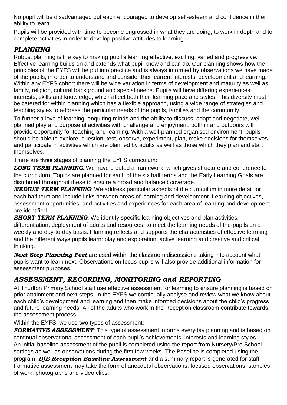No pupil will be disadvantaged but each encouraged to develop self-esteem and confidence in their ability to learn.

Pupils will be provided with time to become engrossed in what they are doing, to work in depth and to complete activities in order to develop positive attitudes to learning.

## *PLANNING*

Robust planning is the key to making pupil's learning effective, exciting, varied and progressive. Effective learning builds on and extends what pupil know and can do. Our planning shows how the principles of the EYFS will be put into practice and is always informed by observations we have made of the pupils, in order to understand and consider their current interests, development and learning. Within any EYFS cohort there will be wide variation in terms of development and maturity as well as family, religion, cultural background and special needs. Pupils will have differing experiences, interests, skills and knowledge, which affect both their learning pace and styles. This diversity must be catered for within planning which has a flexible approach, using a wide range of strategies and teaching styles to address the particular needs of the pupils, families and the community.

To further a love of learning, enquiring minds and the ability to discuss, adapt and negotiate, well planned play and purposeful activities with challenge and enjoyment, both in and outdoors will provide opportunity for teaching and learning. With a well-planned organised environment, pupils should be able to explore, question, test, observe, experiment, plan, make decisions for themselves and participate in activities which are planned by adults as well as those which they plan and start themselves.

There are three stages of planning the EYFS curriculum:

**LONG TERM PLANNING**: We have created a framework, which gives structure and coherence to the curriculum. Topics are planned for each of the six half terms and the Early Learning Goals are distributed throughout these to ensure a broad and balanced coverage.

*MEDIUM TERM PLANNING*: We address particular aspects of the curriculum in more detail for each half term and include links between areas of learning and development. Learning objectives, assessment opportunities, and activities and experiences for each area of learning and development are identified.

**SHORT TERM PLANNING:** We identify specific learning objectives and plan activities, differentiation, deployment of adults and resources, to meet the learning needs of the pupils on a weekly and day-to-day basis. Planning reflects and supports the characteristics of effective learning and the different ways pupils learn: play and exploration, active learning and creative and critical thinking.

*Next Step Planning Feet* are used within the classroom discussions taking into account what pupils want to learn next. Observations on focus pupils will also provide additional information for assessment purposes.

## *ASSESSMENT, RECORDING, MONITORING and REPORTING*

At Thurlton Primary School staff use effective assessment for learning to ensure planning is based on prior attainment and next steps. In the EYFS we continually analyse and review what we know about each child's development and learning and then make informed decisions about the child's progress and future learning needs. All of the adults who work in the Reception classroom contribute towards the assessment process.

Within the EYFS, we use two types of assessment:

*FORMATIVE ASSESSMENT*: This type of assessment informs everyday planning and is based on continual observational assessment of each pupil's achievements, interests and learning styles. An initial baseline assessment of the pupil is completed using the report from Nursery/Pre School settings as well as observations during the first few weeks. The Baseline is completed using the program, *DfE Reception Baseline Assessment* and a summary report is generated for staff. Formative assessment may take the form of anecdotal observations, focused observations, samples of work, photographs and video clips.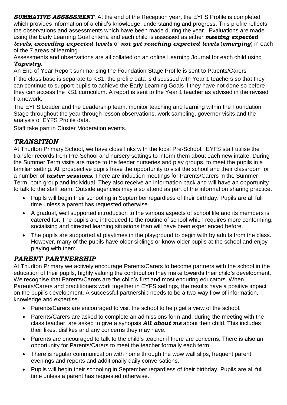*SUMMATIVE ASSESSMENT*: At the end of the Reception year, the EYFS Profile is completed which provides information of a child's knowledge, understanding and progress. This profile reflects the observations and assessments which have been made during the year. Evaluations are made using the Early Learning Goal criteria and each child is assessed as either *meeting expected levels*, *exceeding expected levels* or *not yet reaching expected levels* (*emerging*) in each of the 7 areas of learning.

Assessments and observations are all collated on an online Learning Journal for each child using *Tapestry*.

An End of Year Report summarising the Foundation Stage Profile is sent to Parents/Carers

If the class base is separate to KS1, the profile data is discussed with Year 1 teachers so that they can continue to support pupils to achieve the Early Learning Goals if they have not done so before they can access the KS1 curriculum. A report is sent to the Year 1 teacher as advised in the revised framework.

The EYFS Leader and the Leadership team, monitor teaching and learning within the Foundation Stage throughout the year through lesson observations, work sampling, governor visits and the analysis of EYFS Profile data.

Staff take part in Cluster Moderation events.

## *TRANSITION*

At Thurlton Primary School, we have close links with the local Pre-School. EYFS staff utilise the transfer records from Pre-School and nursery settings to inform them about each new intake. During the Summer Term visits are made to the feeder nurseries and play groups, to meet the pupils in a familiar setting. All prospective pupils have the opportunity to visit the school and their classroom for a number of *taster sessions*. There are induction meetings for Parents/Carers in the Summer Term, both group and individual. They also receive an information pack and will have an opportunity to talk to the staff team. Outside agencies may also attend as part of the information sharing practice.

- Pupils will begin their schooling in September regardless of their birthday. Pupils are all full time unless a parent has requested otherwise.
- A gradual, well supported introduction to the various aspects of school life and its members is catered for. The pupils are introduced to the routine of school which requires more conforming, socialising and directed learning situations than will have been experienced before.
- The pupils are supported at playtimes in the playground to begin with by adults from the class. However, many of the pupils have older siblings or know older pupils at the school and enjoy playing with them.

## *PARENT PARTNERSHIP*

At Thurlton Primary we actively encourage Parents/Carers to become partners with the school in the education of their pupils, highly valuing the contribution they make towards their child's development. We recognise that Parents/Carers are the child's first and most enduring educators. When Parents/Carers and practitioners work together in EYFS settings, the results have a positive impact on the pupil's development. A successful partnership needs to be a two-way flow of information, knowledge and expertise.

- Parents/Carers are encouraged to visit the school to help get a view of the school.
- Parents/Carers are asked to complete an admissions form and, during the meeting with the class teacher, are asked to give a synopsis *All about me* about their child. This includes their likes, dislikes and any concerns they may have.
- Parents are encouraged to talk to the child's teacher if there are concerns. There is also an opportunity for Parents/Carers to meet the teacher formally each term.
- There is regular communication with home through the wow wall slips, frequent parent evenings and reports and additionally daily conversations.
- Pupils will begin their schooling in September regardless of their birthday. Pupils are all full time unless a parent has requested otherwise.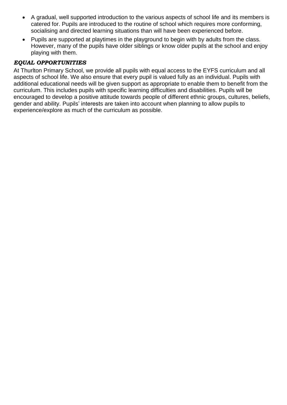- A gradual, well supported introduction to the various aspects of school life and its members is catered for. Pupils are introduced to the routine of school which requires more conforming, socialising and directed learning situations than will have been experienced before.
- Pupils are supported at playtimes in the playground to begin with by adults from the class. However, many of the pupils have older siblings or know older pupils at the school and enjoy playing with them.

#### *EQUAL OPPORTUNITIES*

At Thurlton Primary School, we provide all pupils with equal access to the EYFS curriculum and all aspects of school life. We also ensure that every pupil is valued fully as an individual. Pupils with additional educational needs will be given support as appropriate to enable them to benefit from the curriculum. This includes pupils with specific learning difficulties and disabilities. Pupils will be encouraged to develop a positive attitude towards people of different ethnic groups, cultures, beliefs, gender and ability. Pupils' interests are taken into account when planning to allow pupils to experience/explore as much of the curriculum as possible.